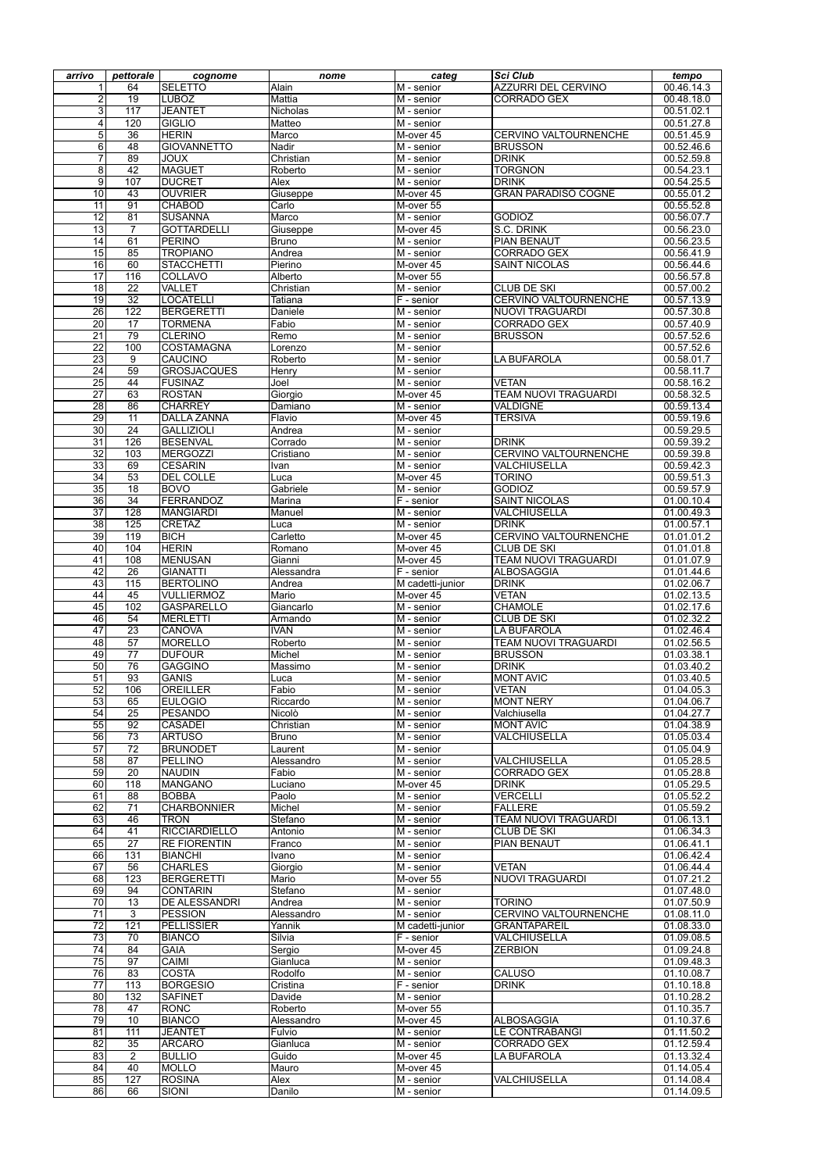| arrivo          | pettorale            | cognome                         | nome                   | categ                        | <b>Sci Club</b>                          | tempo                    |
|-----------------|----------------------|---------------------------------|------------------------|------------------------------|------------------------------------------|--------------------------|
|                 | 64                   | <b>SELETTO</b>                  | Alain                  | $\overline{M}$ - senior      | <b>AZZURRI DEL CERVINO</b>               | 00.46.14.3               |
| $\overline{2}$  | 19                   | <b>LUBOZ</b>                    | <b>Mattia</b>          | $\overline{M}$ - senior      | <b>CORRADO GEX</b>                       | 00.48.18.0               |
| $\overline{3}$  | 117                  | <b>JEANTET</b>                  | <b>Nicholas</b>        | $\overline{M}$ - senior      |                                          | 00.51.02.1               |
| 4               | 120                  | <b>GIGLIO</b>                   | Matteo                 | $\overline{M}$ - senior      |                                          | 00.51.27.8               |
| 5 <sup>1</sup>  | $\overline{36}$      | <b>HERIN</b>                    | Marco                  | M-over 45                    | <b>CERVINO VALTOURNENCHE</b>             | 00.51.45.9               |
| 6               | 48                   | <b>GIOVANNETTO</b>              | Nadir                  | M - senior                   | <b>BRUSSON</b>                           | 00.52.46.6               |
| $\overline{7}$  | 89                   | <b>JOUX</b>                     | Christian              | $\overline{M}$ - senior      | <b>DRINK</b>                             | 00.52.59.8               |
| 8               | 42                   | <b>MAGUET</b>                   | Roberto                | $\overline{M}$ - senior      | <b>TORGNON</b>                           | 00.54.23.1               |
| $\overline{9}$  | 107                  | <b>DUCRET</b>                   | <b>Alex</b>            | $\overline{M}$ - senior      | <b>DRINK</b>                             | 00.54.25.5               |
| 10              | 43                   | <b>OUVRIER</b>                  | Giuseppe               | M-over 45                    | <b>GRAN PARADISO COGNE</b>               | 00.55.01.2               |
| 11<br>12        | 91<br>81             | <b>CHABOD</b><br><b>SUSANNA</b> | Carlo<br>Marco         | M-over 55                    | <b>GODIOZ</b>                            | 00.55.52.8<br>00.56.07.7 |
| 13              | $\overline{7}$       | <b>GOTTARDELLI</b>              | Giuseppe               | $M -$ senior<br>M-over 45    | <b>S.C. DRINK</b>                        | 00.56.23.0               |
| 14              | 61                   | <b>PERINO</b>                   | <b>Bruno</b>           | $M -$ senior                 | <b>PIAN BENAUT</b>                       | 00.56.23.5               |
| 15              | 85                   | <b>TROPIANO</b>                 | Andrea                 | $\overline{M}$ - senior      | <b>CORRADO GEX</b>                       | 00.56.41.9               |
| 16              | 60                   | <b>STACCHETTI</b>               | Pierino                | M-over 45                    | <b>SAINT NICOLAS</b>                     | 00.56.44.6               |
| $\overline{17}$ | 116                  | <b>COLLAVO</b>                  | Alberto                | M-over 55                    |                                          | 00.56.57.8               |
| 18              | $\overline{22}$      | <b>VALLET</b>                   | Christian              | $M -$ senior                 | <b>CLUB DE SKI</b>                       | 00.57.00.2               |
| 19              | $\overline{32}$      | <b>ILOCATELLI</b>               | Tatiana                | $\overline{F}$ - senior      | <b>CERVINO VALTOURNENCHE</b>             | 00.57.13.9               |
| 26              | 122                  | BERGERETTI                      | Daniele                | $\overline{M}$ - senior      | <b>NUOVI TRAGUARDI</b>                   | 00.57.30.8               |
| 20              | 17                   | <b>TORMENA</b>                  | Fabio                  | $\overline{M}$ - senior      | <b>CORRADO GEX</b>                       | 00.57.40.9               |
| $\overline{21}$ | 79                   | <b>CLERINO</b>                  | Remo                   | $\overline{M}$ - senior      | <b>BRUSSON</b>                           | 00.57.52.6               |
| $\overline{22}$ | 100                  | COSTAMAGNA                      | Lorenzo                | $\overline{M}$ - senior      |                                          | 00.57.52.6               |
| 23              | 9                    | <b>CAUCINO</b>                  | Roberto                | $\overline{M}$ - senior      | <b>LA BUFAROLA</b>                       | 00.58.01.7               |
| 24              | $\overline{59}$      | <b>GROSJACQUES</b>              | Henry                  | $\overline{M}$ - senior      |                                          | 00.58.11.7               |
| 25              | 44                   | FUSINAZ                         | Joel                   | $M -$ senior                 | <b>VETAN</b>                             | 00.58.16.2               |
| $\overline{27}$ | 63                   | <b>ROSTAN</b>                   | Giorgio                | M-over 45                    | <b>TEAM NUOVI TRAGUARDI</b>              | 00.58.32.5               |
| 28              | 86                   | <b>CHARREY</b>                  | Damiano                | $M -$ senior                 | <b>VALDIGNE</b>                          | 00.59.13.4               |
| 29              | 11                   | <b>DALLA ZANNA</b>              | Flavio                 | M-over 45                    | <b>TERSIVA</b>                           | 00.59.19.6               |
| 30              | 24                   | <b>GALLIZIOLI</b>               | Andrea                 | $M -$ senior                 |                                          | 00.59.29.5               |
| $\overline{31}$ | 126                  | BESENVAL                        | Corrado                | $\overline{M}$ - senior      | <b>DRINK</b>                             | 00.59.39.2               |
| $\overline{32}$ | 103                  | MERGOZZI                        | Cristiano              | $\overline{M}$ - senior      | <b>CERVINO VALTOURNENCHE</b>             | 00.59.39.8               |
| 33              | 69                   | <b>CESARIN</b>                  | Ivan                   | $M -$ senior                 | VALCHIUSELLA                             | 00.59.42.3               |
| 34              | 53                   | <b>DEL COLLE</b>                | Luca                   | M-over 45                    | <b>TORINO</b>                            | 00.59.51.3               |
| 35              | 18                   | <b>BOVO</b>                     | Gabriele               | M - senior                   | <b>GODIOZ</b>                            | 00.59.57.9               |
| 36              | $\overline{34}$      | FERRANDOZ                       | Marina                 | F - senior                   | <b>SAINT NICOLAS</b>                     | 01.00.10.4               |
| 37              | 128                  | MANGIARDI                       | Manuel                 | M - senior                   | VALCHIUSELLA                             | 01.00.49.3               |
| 38              | 125                  | <b>CRETAZ</b>                   | Luca                   | $M -$ senior                 | <b>DRINK</b>                             | 01.00.57.1               |
| 39              | 119                  | <b>BICH</b>                     | Carletto               | M-over 45                    | <b>CERVINO VALTOURNENCHE</b>             | 01.01.01.2               |
| 40              | 104                  | <b>HERIN</b>                    | Romano                 | M-over 45                    | <b>CLUB DE SKI</b>                       | 01.01.01.8               |
| 41              | 108                  | <b>MENUSAN</b>                  | Gianni                 | M-over 45                    | <b>TEAM NUOVI TRAGUARDI</b>              | 01.01.07.9               |
| 42              | 26                   | <b>GIANATTI</b>                 | Alessandra             | F - senior                   | ALBOSAGGIA                               | 01.01.44.6               |
| 43              | 115                  | <b>BERTOLINO</b>                | Andrea                 | M cadetti-junior             | <b>DRINK</b>                             | 01.02.06.7               |
| 44              | 45                   | <b>VULLIERMOZ</b>               | Mario                  | M-over 45                    | <b>VETAN</b>                             | 01.02.13.5               |
| 45<br>46        | 102<br>54            | GASPARELLO<br><b>MERLETTI</b>   | Giancarlo              | M - senior                   | <b>CHAMOLE</b>                           | 01.02.17.6<br>01.02.32.2 |
| 47              | 23                   | <b>CANOVA</b>                   | Armando<br><b>IVAN</b> | M - senior                   | <b>CLUB DE SKI</b><br><b>LA BUFAROLA</b> | 01.02.46.4               |
| 48              | 57                   | <b>MORELLO</b>                  | Roberto                | $M -$ senior<br>$M -$ senior | <b>TEAM NUOVI TRAGUARDI</b>              | 01.02.56.5               |
| 49              | $\overline{77}$      | <b>IDUFOUR</b>                  | Michel                 | M - senior                   | <b>BRUSSON</b>                           | 01.03.38.1               |
| 50              | 76                   | <b>GAGGINO</b>                  | Massimo                | M - senior                   | DRINK                                    | 01.03.40.2               |
| 51              | 93                   | <b>GANIS</b>                    | Luca                   | M - senior                   | <b>MONT AVIC</b>                         | 01.03.40.5               |
| 52              | 106                  | OREILLER                        | Fabio                  | M - senior                   | <b>VETAN</b>                             | 01.04.05.3               |
| 53              | 65                   | <b>EULOGIO</b>                  | Riccardo               | M - senior                   | <b>MONT NERY</b>                         | 01.04.06.7               |
| 54              | 25                   | <b>PESANDO</b>                  | Nicolò                 | M - senior                   | Valchiusella                             | 01.04.27.7               |
| 55              | 92                   | <b>CASADEI</b>                  | Christian              | M - senior                   | <b>MONT AVIC</b>                         | 01.04.38.9               |
| 56              | 73                   | <b>ARTUSO</b>                   | <b>Bruno</b>           | M - senior                   | <b>VALCHIUSELLA</b>                      | 01.05.03.4               |
| 57              | $\overline{72}$      | <b>BRUNODET</b>                 | Laurent                | M - senior                   |                                          | 01.05.04.9               |
| 58              | 87                   | PELLINO                         | Alessandro             | M - senior                   | VALCHIUSELLA                             | 01.05.28.5               |
| 59              | 20                   | <b>NAUDIN</b>                   | Fabio                  | M - senior                   | <b>CORRADO GEX</b>                       | 01.05.28.8               |
| 60              | 118                  | <b>MANGANO</b>                  | Luciano                | M-over 45                    | DRINK                                    | 01.05.29.5               |
| 61              | 88                   | <b>BOBBA</b>                    | Paolo                  | M - senior                   | <b>VERCELLI</b>                          | 01.05.52.2               |
| 62              | $\overline{71}$      | <b>CHARBONNIER</b>              | Michel                 | M - senior                   | <b>FALLERE</b>                           | 01.05.59.2               |
| 63              | 46                   | <b>TRON</b>                     | Stefano                | $M -$ senior                 | <b>TEAM NUOVI TRAGUARDI</b>              | 01.06.13.1               |
| 64              | 41                   | <b>RICCIARDIELLO</b>            | Antonio                | $M -$ senior                 | <b>CLUB DE SKI</b>                       | 01.06.34.3               |
| 65              | $\overline{27}$      | <b>RE FIORENTIN</b>             | Franco                 | $M -$ senior                 | <b>PIAN BENAUT</b>                       | 01.06.41.1               |
| 66              | 131                  | <b>BIANCHI</b>                  | Ivano                  | $M -$ senior                 |                                          | 01.06.42.4               |
| 67              | 56                   | <b>CHARLES</b>                  | Giorgio                | M - senior                   | <b>VETAN</b>                             | 01.06.44.4               |
| 68              | 123                  | BERGERETTI                      | Mario                  | M-over 55                    | <b>NUOVI TRAGUARDI</b>                   | 01.07.21.2               |
| 69              | 94                   | <b>CONTARIN</b>                 | Stefano                | M - senior                   |                                          | 01.07.48.0               |
| 70              | 13                   | <b>DE ALESSANDRI</b>            | Andrea                 | M - senior                   | <b>TORINO</b>                            | 01.07.50.9               |
| 71              | 3                    | <b>PESSION</b>                  | Alessandro             | $M -$ senior                 | <b>CERVINO VALTOURNENCHE</b>             | 01.08.11.0               |
| $\overline{72}$ | 121                  | <b>PELLISSIER</b>               | Yannik                 | M cadetti-junior             | <b>GRANTAPAREIL</b>                      | 01.08.33.0               |
| 73              | 70                   | <b>BIANCO</b>                   | Silvia                 | F - senior                   | VALCHIUSELLA                             | 01.09.08.5               |
| 74              | 84                   | <b>GAIA</b>                     | Sergio                 | M-over 45                    | <b>ZERBION</b>                           | 01.09.24.8               |
| 75              | 97                   | CAIMI                           | Gianluca               | M - senior                   |                                          | 01.09.48.3               |
| 76              | 83                   | <b>COSTA</b>                    | Rodolfo                | M - senior                   | <b>CALUSO</b>                            | 01.10.08.7               |
| 77              | 113                  | <b>BORGESIO</b>                 | Cristina               | F - senior                   | DRINK                                    | 01.10.18.8               |
| 80              | 132                  | <b>SAFINET</b>                  | Davide                 | M - senior                   |                                          | 01.10.28.2               |
| 78              | 47                   | <b>RONC</b>                     | Roberto                | M-over 55                    |                                          | 01.10.35.7               |
| 79              | 10                   | <b>BIANCO</b>                   | Alessandro             | M-over 45                    | ALBOSAGGIA                               | 01.10.37.6               |
| 81              | 111                  | <b>JEANTET</b>                  | Fulvio                 | M - senior                   | <b>LE CONTRABANGI</b>                    | 01.11.50.2               |
| 82              | 35                   | <b>ARCARO</b>                   | Gianluca               | M - senior                   | <b>CORRADO GEX</b>                       | 01.12.59.4               |
| 83              | $\overline{2}$<br>40 | <b>BULLIO</b>                   | Guido                  | M-over 45                    | LA BUFAROLA                              | 01.13.32.4               |
| 84              | 127                  | <b>MOLLO</b>                    | Mauro                  | M-over 45                    |                                          | 01.14.05.4               |
| 85              |                      | <b>ROSINA</b>                   | Alex                   | M - senior                   | <b>VALCHIUSELLA</b>                      | 01.14.08.4               |
| 86              | 66                   | SIONI                           | Danilo                 | M - senior                   |                                          | 01.14.09.5               |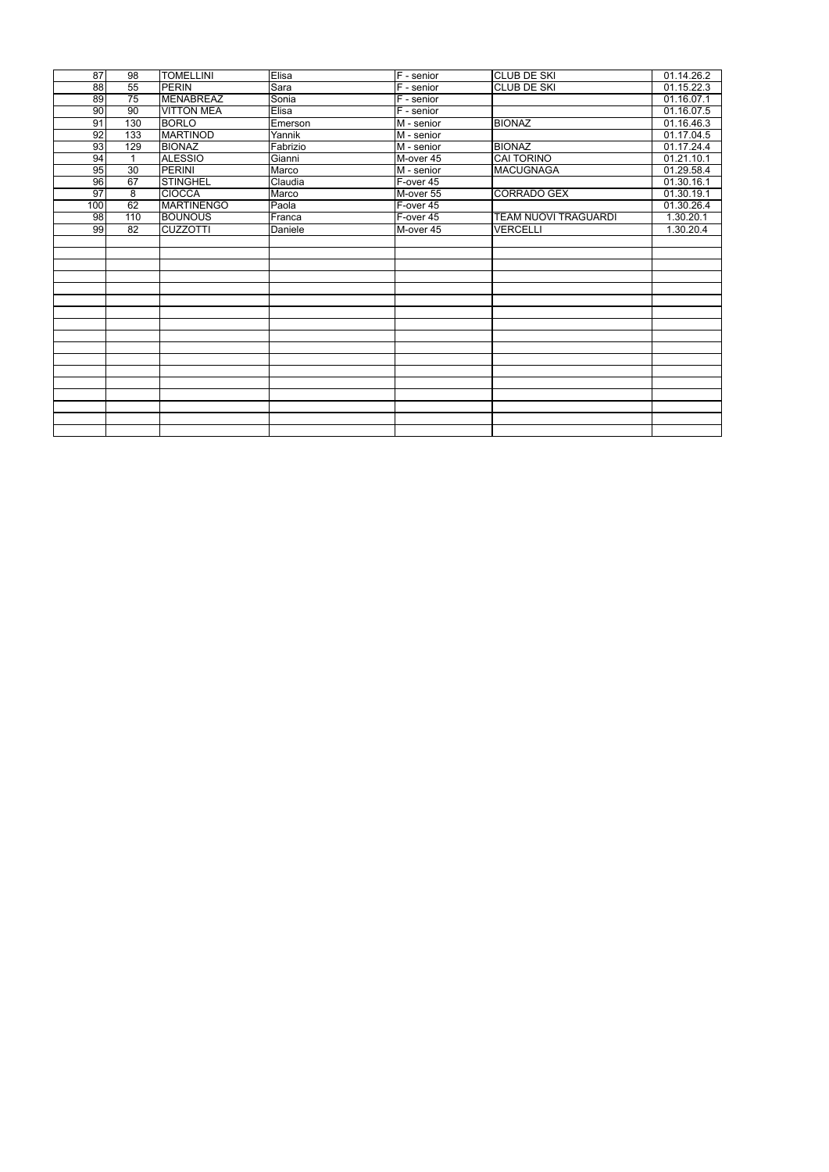| 87              | 98              | <b>TOMELLINI</b>  | Elisa          | $F$ - senior                     | <b>CLUB DE SKI</b>          | 01.14.26.2 |
|-----------------|-----------------|-------------------|----------------|----------------------------------|-----------------------------|------------|
| $\overline{88}$ | 55              | <b>PERIN</b>      | <b>Sara</b>    | $F -$ senior                     | <b>CLUB DE SKI</b>          | 01.15.22.3 |
| 89              | $\overline{75}$ | <b>MENABREAZ</b>  | Sonia          | F - senior                       |                             | 01.16.07.1 |
| 90              | 90              | <b>VITTON MEA</b> | Elisa          | $F -$ senior                     |                             | 01.16.07.5 |
| 91              | 130             | <b>BORLO</b>      | Emerson        | $\overline{\mathsf{M}}$ - senior | <b>BIONAZ</b>               | 01.16.46.3 |
| 92              | 133             | <b>MARTINOD</b>   | Yannik         | $\overline{\mathsf{M}}$ - senior |                             | 01.17.04.5 |
| 93              | 129             | <b>BIONAZ</b>     | Fabrizio       | M - senior                       | <b>BIONAZ</b>               | 01.17.24.4 |
| 94              |                 | <b>ALESSIO</b>    | Gianni         | M-over 45                        | <b>CAI TORINO</b>           | 01.21.10.1 |
| 95              | 30              | <b>PERINI</b>     | Marco          | M - senior                       | MACUGNAGA                   | 01.29.58.4 |
| 96              | 67              | <b>STINGHEL</b>   | Claudia        | $F-over 45$                      |                             | 01.30.16.1 |
| $\overline{97}$ | $\overline{8}$  | <b>CIOCCA</b>     | Marco          | M-over 55                        | <b>CORRADO GEX</b>          | 01.30.19.1 |
| 100             | 62              | <b>MARTINENGO</b> | Paola          | F-over 45                        |                             | 01.30.26.4 |
| 98              | 110             | <b>BOUNOUS</b>    | Franca         | F-over 45                        | <b>TEAM NUOVI TRAGUARDI</b> | 1.30.20.1  |
| 99              | 82              | <b>CUZZOTTI</b>   | <b>Daniele</b> | M-over 45                        | <b>VERCELLI</b>             | 1.30.20.4  |
|                 |                 |                   |                |                                  |                             |            |
|                 |                 |                   |                |                                  |                             |            |
|                 |                 |                   |                |                                  |                             |            |
|                 |                 |                   |                |                                  |                             |            |
|                 |                 |                   |                |                                  |                             |            |
|                 |                 |                   |                |                                  |                             |            |
|                 |                 |                   |                |                                  |                             |            |
|                 |                 |                   |                |                                  |                             |            |
|                 |                 |                   |                |                                  |                             |            |
|                 |                 |                   |                |                                  |                             |            |
|                 |                 |                   |                |                                  |                             |            |
|                 |                 |                   |                |                                  |                             |            |
|                 |                 |                   |                |                                  |                             |            |
|                 |                 |                   |                |                                  |                             |            |
|                 |                 |                   |                |                                  |                             |            |
|                 |                 |                   |                |                                  |                             |            |
|                 |                 |                   |                |                                  |                             |            |